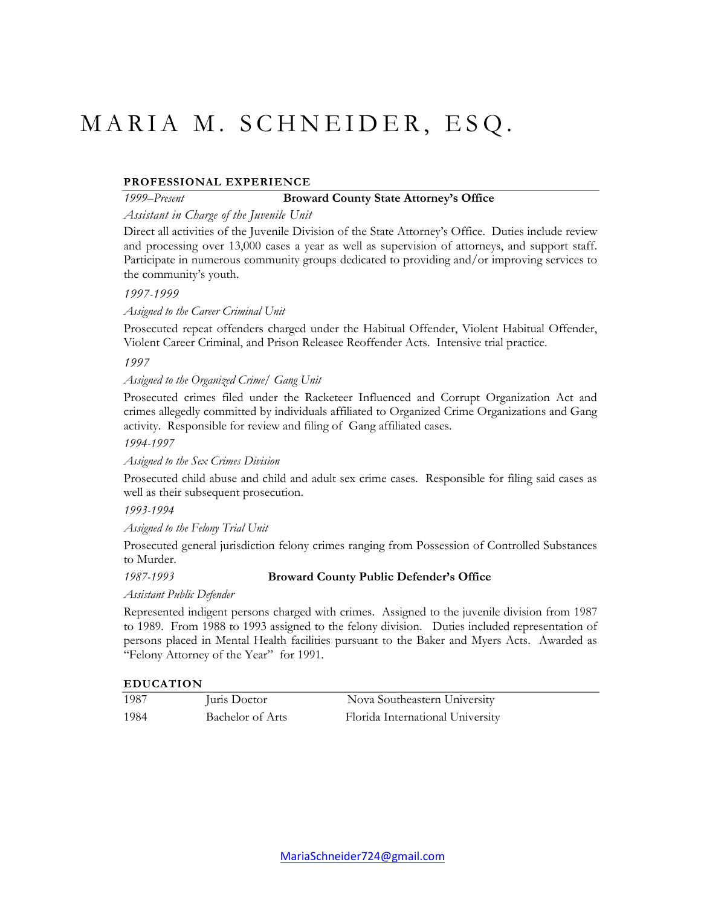# MARIA M. SCHNEIDER, ESQ.

# **PROFESSIONAL EXPERIENCE**

#### *1999*–*Present* **Broward County State Attorney's Office**

## *Assistant in Charge of the Juvenile Unit*

Direct all activities of the Juvenile Division of the State Attorney's Office. Duties include review and processing over 13,000 cases a year as well as supervision of attorneys, and support staff. Participate in numerous community groups dedicated to providing and/or improving services to the community's youth.

#### *1997-1999*

*Assigned to the Career Criminal Unit*

Prosecuted repeat offenders charged under the Habitual Offender, Violent Habitual Offender, Violent Career Criminal, and Prison Releasee Reoffender Acts. Intensive trial practice.

#### *1997*

*Assigned to the Organized Crime/ Gang Unit*

Prosecuted crimes filed under the Racketeer Influenced and Corrupt Organization Act and crimes allegedly committed by individuals affiliated to Organized Crime Organizations and Gang activity. Responsible for review and filing of Gang affiliated cases.

*1994-1997*

#### *Assigned to the Sex Crimes Division*

Prosecuted child abuse and child and adult sex crime cases. Responsible for filing said cases as well as their subsequent prosecution.

*1993-1994*

#### *Assigned to the Felony Trial Unit*

Prosecuted general jurisdiction felony crimes ranging from Possession of Controlled Substances to Murder.

## *1987-1993* **Broward County Public Defender's Office**

*Assistant Public Defender*

Represented indigent persons charged with crimes. Assigned to the juvenile division from 1987 to 1989. From 1988 to 1993 assigned to the felony division. Duties included representation of persons placed in Mental Health facilities pursuant to the Baker and Myers Acts. Awarded as "Felony Attorney of the Year" for 1991.

#### **EDUCATION**

| 1987 | Juris Doctor     | Nova Southeastern University     |
|------|------------------|----------------------------------|
| 1984 | Bachelor of Arts | Florida International University |